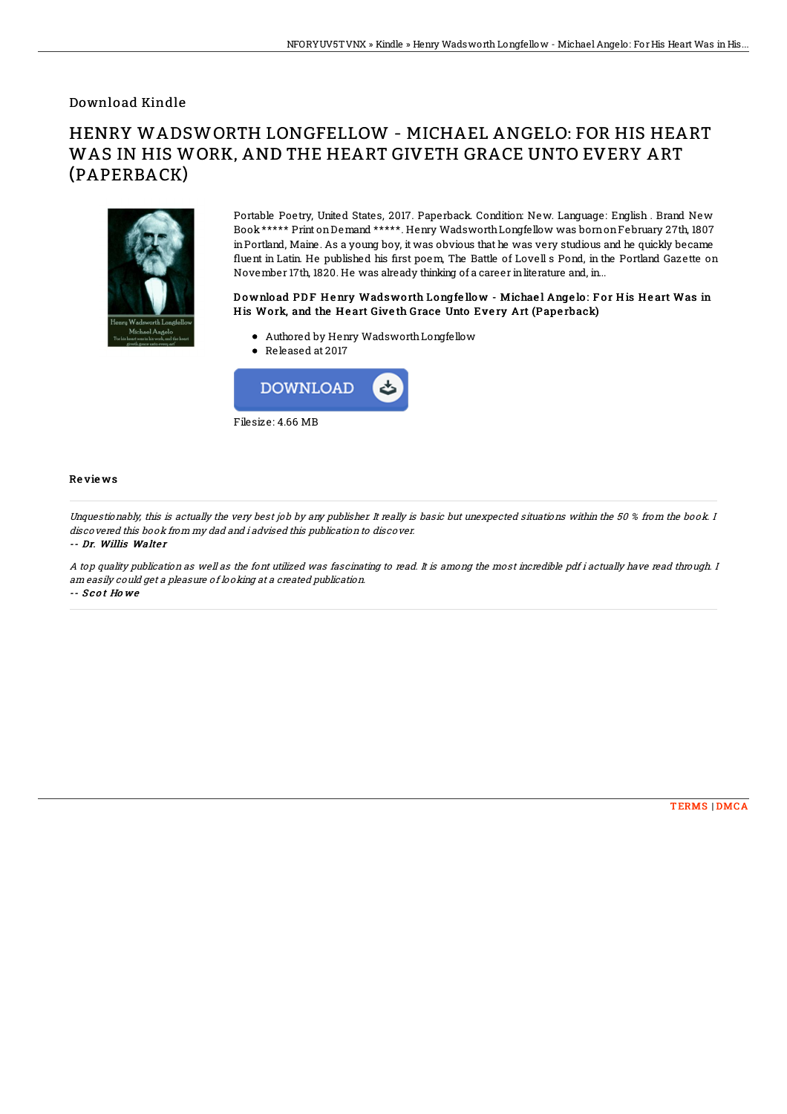### Download Kindle

# HENRY WADSWORTH LONGFELLOW - MICHAEL ANGELO: FOR HIS HEART WAS IN HIS WORK, AND THE HEART GIVETH GRACE UNTO EVERY ART (PAPERBACK)



Portable Poetry, United States, 2017. Paperback. Condition: New. Language: English . Brand New Book\*\*\*\*\* Print onDemand \*\*\*\*\*. Henry WadsworthLongfellow was bornonFebruary 27th, 1807 inPortland, Maine. As a young boy, it was obvious that he was very studious and he quickly became fluent in Latin. He published his first poem, The Battle of Lovell s Pond, in the Portland Gazette on November 17th, 1820. He was already thinking of a career inliterature and, in...

#### Download PDF Henry Wadsworth Longfellow - Michael Angelo: For His Heart Was in His Work, and the Heart Giveth Grace Unto Every Art (Paperback)

- Authored by Henry WadsworthLongfellow
- Released at 2017



#### Re vie ws

Unquestionably, this is actually the very best job by any publisher. It really is basic but unexpected situations within the 50 % from the book. I discovered this book from my dad and i advised this publication to discover.

-- Dr. Willis Walter

A top quality publication as well as the font utilized was fascinating to read. It is among the most incredible pdf i actually have read through. I am easily could get <sup>a</sup> pleasure of looking at <sup>a</sup> created publication. -- S c o t Ho we